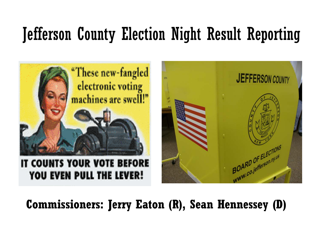### Jefferson County Election Night Result Reporting



**IT COUNTS YOUR VOTE BEFORE** YOU EVEN PULL THE LEVER!



#### **Commissioners: Jerry Eaton (R), Sean Hennessey (D)**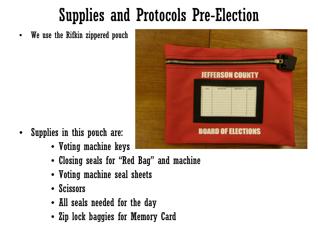### Supplies and Protocols Pre-Election

• We use the Rifkin zippered pouch



- Supplies in this pouch are:
	- Voting machine keys
	- Closing seals for "Red Bag" and machine
	- Voting machine seal sheets
	- Scissors
	- All seals needed for the day
	- Zip lock baggies for Memory Card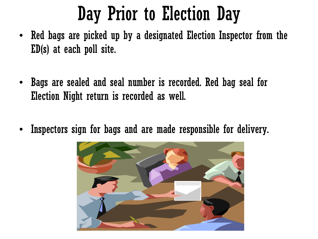## Day Prior to Election Day

- Red bags are picked up by a designated Election Inspector from the ED(s) at each poll site.
- Bags are sealed and seal number is recorded. Red bag seal for Election Night return is recorded as well.
- Inspectors sign for bags and are made responsible for delivery.

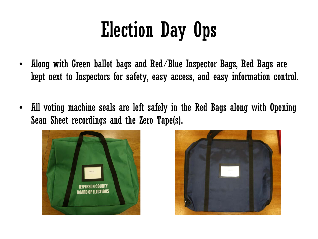# Election Day Ops

- Along with Green ballot bags and Red/Blue Inspector Bags, Red Bags are kept next to Inspectors for safety, easy access, and easy information control.
- All voting machine seals are left safely in the Red Bags along with Opening Sean Sheet recordings and the Zero Tape(s).



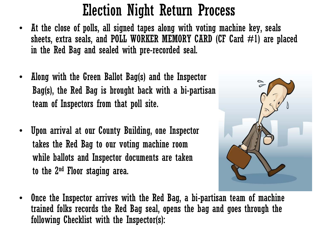### Election Night Return Process

- At the close of polls, all signed tapes along with voting machine key, seals sheets, extra seals, and POLL WORKER MEMORY CARD (CF Card  $\#1$ ) are placed in the Red Bag and sealed with pre-recorded seal.
- Along with the Green Ballot Bag(s) and the Inspector Bag(s), the Red Bag is brought back with a bi-partisan team of Inspectors from that poll site.
- Upon arrival at our County Building, one Inspector takes the Red Bag to our voting machine room while ballots and Inspector documents are taken to the 2nd Floor staging area.



• Once the Inspector arrives with the Red Bag, a bi-partisan team of machine trained folks records the Red Bag seal, opens the bag and goes through the following Checklist with the Inspector(s):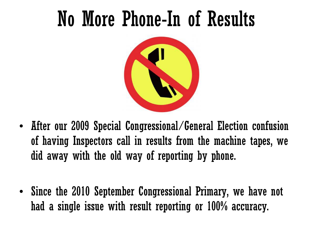## No More Phone-In of Results



- After our 2009 Special Congressional/General Election confusion of having Inspectors call in results from the machine tapes, we did away with the old way of reporting by phone.
- Since the 2010 September Congressional Primary, we have not had a single issue with result reporting or 100% accuracy.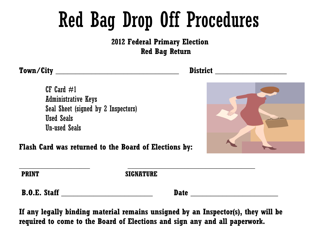# Red Bag Drop Off Procedures

 **2012 Federal Primary Election Red Bag Return**

Town/City **and the contract of the contract of the contract of the contract of the contract of the contract of the contract of the contract of the contract of the contract of the contract of the contract of the contract of** 

CF Card  $\#1$  Administrative Keys Seal Sheet (signed by 2 Inspectors) Used Seals Un-used Seals

**Flash Card was returned to the Board of Elections by:**

**SIGNATURE** 

**\_\_\_\_\_\_\_\_\_\_\_\_\_\_\_\_\_\_\_\_ \_\_\_\_\_\_\_\_\_\_\_\_\_\_\_\_\_\_\_\_\_\_\_\_\_\_\_\_\_\_\_\_\_\_\_\_** 

**B.O.E. Staff \_\_\_\_\_\_\_\_\_\_\_\_\_\_\_\_\_\_\_\_\_\_\_ Date \_\_\_\_\_\_\_\_\_\_\_\_\_\_\_\_\_\_\_\_\_\_**

**If any legally binding material remains unsigned by an Inspector(s), they will be required to come to the Board of Elections and sign any and all paperwork.**

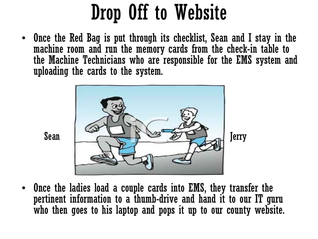# Drop Off to Website

• Once the Red Bag is put through its checklist, Sean and I stay in the machine room and run the memory cards from the check-in table to the Machine Technicians who are responsible for the EMS system and uploading the cards to the system.



• Once the ladies load a couple cards into EMS, they transfer the pertinent information to a thumb-drive and hand it to our IT guru who then goes to his laptop and pops it up to our county website.